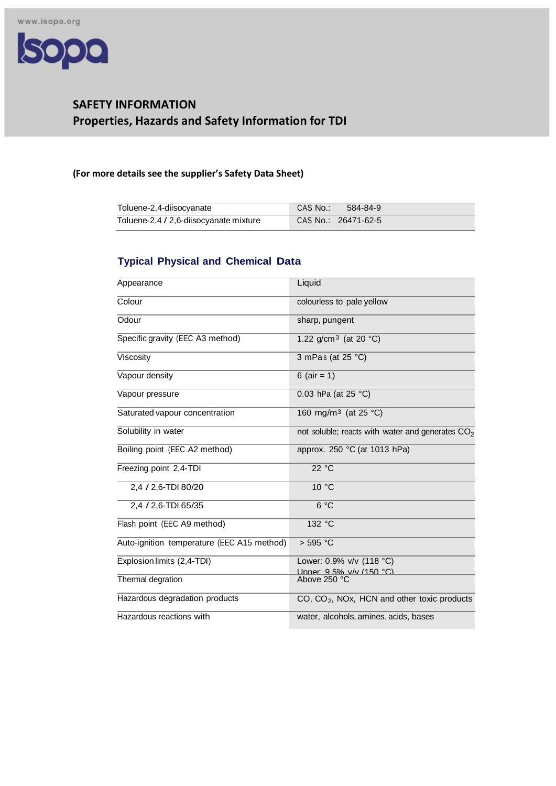

# **SAFETY INFORMATION Properties, Hazards and Safety Information for TDI**

## **(For more details see the supplier's Safety Data Sheet)**

| Toluene-2,4-diisocyanate               | CAS No.: \<br>- 584-84-9 |
|----------------------------------------|--------------------------|
| Toluene-2,4 / 2,6-diisocyanate mixture | CAS No.: 26471-62-51     |

## **Typical Physical and Chemical Data**

| Appearance                                 | Liquid                                                        |
|--------------------------------------------|---------------------------------------------------------------|
| Colour                                     | colourless to pale yellow                                     |
| Odour                                      | sharp, pungent                                                |
| Specific gravity (EEC A3 method)           | 1.22 g/cm <sup>3</sup> (at 20 $^{\circ}$ C)                   |
| Viscosity                                  | 3 mPas (at 25 °C)                                             |
| Vapour density                             | 6 ( $air = 1$ )                                               |
| Vapour pressure                            | 0.03 hPa (at $25 °C$ )                                        |
| Saturated vapour concentration             | 160 mg/m <sup>3</sup> (at 25 °C)                              |
| Solubility in water                        | not soluble; reacts with water and generates $CO2$            |
| Boiling point (EEC A2 method)              | approx. 250 °C (at 1013 hPa)                                  |
| Freezing point 2,4-TDI                     | 22 °C                                                         |
| 2,4 / 2,6-TDI 80/20                        | 10 °C                                                         |
| 2,4 / 2,6-TDI 65/35                        | 6 °C                                                          |
| Flash point (EEC A9 method)                | 132 °C                                                        |
| Auto-ignition temperature (EEC A15 method) | $>$ 595 °C                                                    |
| Explosion limits (2,4-TDI)                 | Lower: 0.9% v/v (118 °C)<br><u> Linner: 9.5% v/v (150 °C)</u> |
| Thermal degration                          | Above 250 °C                                                  |
| Hazardous degradation products             | $CO$ , $CO2$ , NOx, HCN and other toxic products              |
| Hazardous reactions with                   | water, alcohols, amines, acids, bases                         |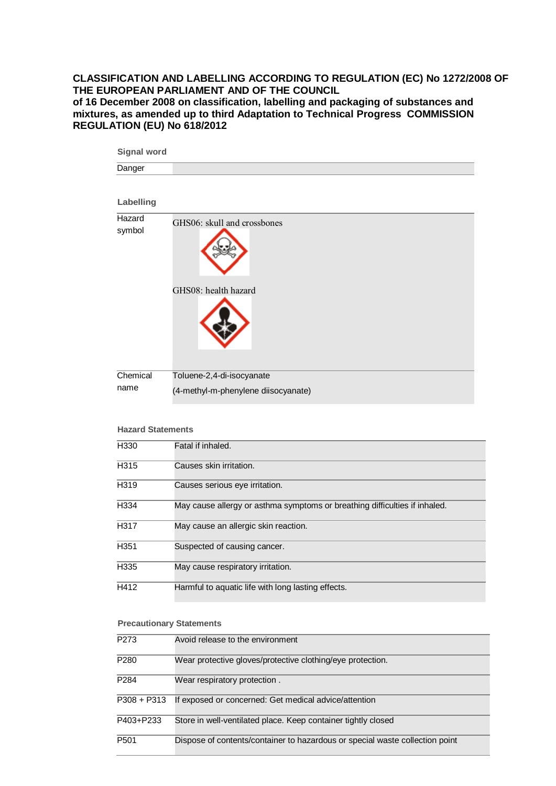### **CLASSIFICATION AND LABELLING ACCORDING TO REGULATION (EC) No 1272/2008 OF THE EUROPEAN PARLIAMENT AND OF THE COUNCIL**

**of 16 December 2008 on classification, labelling and packaging of substances and mixtures, as amended up to third Adaptation to Technical Progress COMMISSION REGULATION (EU) No 618/2012**

| <b>Signal word</b>       |                                                                            |  |
|--------------------------|----------------------------------------------------------------------------|--|
| Danger                   |                                                                            |  |
| Labelling                |                                                                            |  |
| Hazard<br>symbol         | GHS06: skull and crossbones                                                |  |
|                          | GHS08: health hazard                                                       |  |
| Chemical                 | Toluene-2,4-di-isocyanate<br>(4-methyl-m-phenylene diisocyanate)           |  |
| name                     |                                                                            |  |
|                          |                                                                            |  |
| <b>Hazard Statements</b> |                                                                            |  |
| H330                     | Fatal if inhaled.                                                          |  |
| H <sub>315</sub>         | Causes skin irritation.                                                    |  |
| H319                     | Causes serious eye irritation.                                             |  |
| H334                     | May cause allergy or asthma symptoms or breathing difficulties if inhaled. |  |
| H317                     | May cause an allergic skin reaction.                                       |  |
| H351                     | Suspected of causing cancer.                                               |  |
| H335                     | May cause respiratory irritation.                                          |  |
| H412                     | Harmful to aquatic life with long lasting effects.                         |  |
|                          |                                                                            |  |

#### **Precautionary Statements**

| P273        | Avoid release to the environment                                             |
|-------------|------------------------------------------------------------------------------|
| P280        | Wear protective gloves/protective clothing/eye protection.                   |
| P284        | Wear respiratory protection.                                                 |
| P308 + P313 | If exposed or concerned: Get medical advice/attention                        |
| P403+P233   | Store in well-ventilated place. Keep container tightly closed                |
| P501        | Dispose of contents/container to hazardous or special waste collection point |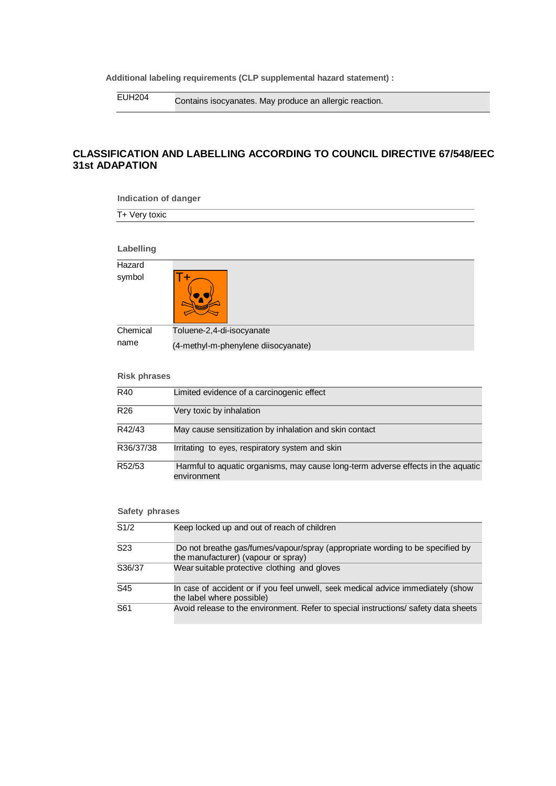**Additional labeling requirements (CLP supplemental hazard statement) :**

EUH204 Contains isocyanates. May produce an allergic reaction.

## **CLASSIFICATION AND LABELLING ACCORDING TO COUNCIL DIRECTIVE 67/548/EEC 31st ADAPATION**

| <b>Indication of danger</b> |                                                                                                                      |  |
|-----------------------------|----------------------------------------------------------------------------------------------------------------------|--|
| T+ Very toxic               |                                                                                                                      |  |
|                             |                                                                                                                      |  |
| Labelling                   |                                                                                                                      |  |
| Hazard                      |                                                                                                                      |  |
| symbol                      |                                                                                                                      |  |
| Chemical                    | Toluene-2,4-di-isocyanate                                                                                            |  |
| name                        | (4-methyl-m-phenylene diisocyanate)                                                                                  |  |
| <b>Risk phrases</b>         |                                                                                                                      |  |
| R40                         | Limited evidence of a carcinogenic effect                                                                            |  |
| R <sub>26</sub>             | Very toxic by inhalation                                                                                             |  |
| R42/43                      | May cause sensitization by inhalation and skin contact                                                               |  |
| R36/37/38                   | Irritating to eyes, respiratory system and skin                                                                      |  |
| R52/53                      | Harmful to aquatic organisms, may cause long-term adverse effects in the aquatic<br>environment                      |  |
| Safety phrases              |                                                                                                                      |  |
| S1/2                        | Keep locked up and out of reach of children                                                                          |  |
| S <sub>23</sub>             | Do not breathe gas/fumes/vapour/spray (appropriate wording to be specified by<br>the manufacturer) (vapour or spray) |  |
| S36/37                      | Wear suitable protective clothing and gloves                                                                         |  |
| S45                         | In case of accident or if you feel unwell, seek medical advice immediately (show<br>the label where possible)        |  |

S61 Avoid release to the environment. Refer to special instructions/ safety data sheets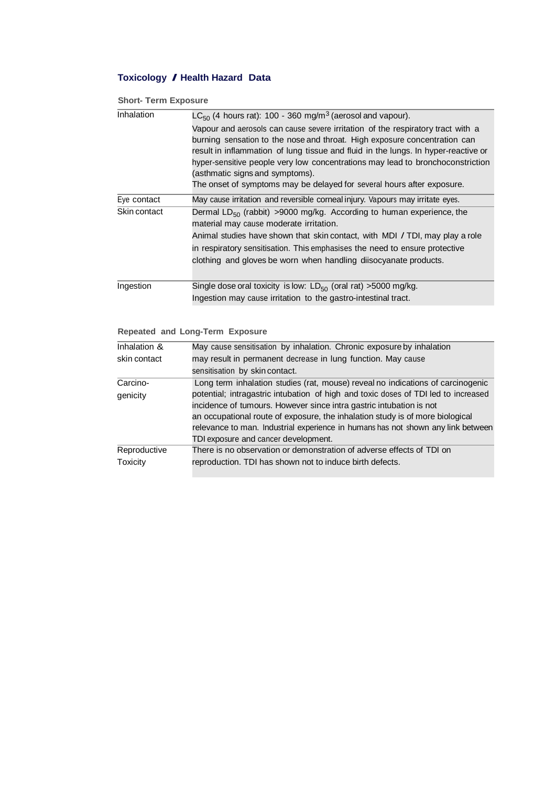## **Toxicology / Health Hazard Data**

**Short- Term Exposure**

| Inhalation   | $LC_{50}$ (4 hours rat): 100 - 360 mg/m <sup>3</sup> (aerosol and vapour).                                                                                                                                                                                                                                                                                                                                                                        |  |
|--------------|---------------------------------------------------------------------------------------------------------------------------------------------------------------------------------------------------------------------------------------------------------------------------------------------------------------------------------------------------------------------------------------------------------------------------------------------------|--|
|              | Vapour and aerosols can cause severe irritation of the respiratory tract with a<br>burning sensation to the nose and throat. High exposure concentration can<br>result in inflammation of lung tissue and fluid in the lungs. In hyper-reactive or<br>hyper-sensitive people very low concentrations may lead to bronchoconstriction<br>(asthmatic signs and symptoms).<br>The onset of symptoms may be delayed for several hours after exposure. |  |
| Eye contact  | May cause irritation and reversible corneal injury. Vapours may irritate eyes.                                                                                                                                                                                                                                                                                                                                                                    |  |
| Skin contact | Dermal LD <sub>50</sub> (rabbit) >9000 mg/kg. According to human experience, the<br>material may cause moderate irritation.<br>Animal studies have shown that skin contact, with MDI / TDI, may play a role<br>in respiratory sensitisation. This emphasises the need to ensure protective<br>clothing and gloves be worn when handling diisocyanate products.                                                                                    |  |
| Ingestion    | Single dose oral toxicity is low: $LD_{50}$ (oral rat) >5000 mg/kg.                                                                                                                                                                                                                                                                                                                                                                               |  |
|              | Ingestion may cause irritation to the gastro-intestinal tract.                                                                                                                                                                                                                                                                                                                                                                                    |  |

#### **Repeated and Long-Term Exposure**

| Inhalation &                                                                 | May cause sensitisation by inhalation. Chronic exposure by inhalation              |  |
|------------------------------------------------------------------------------|------------------------------------------------------------------------------------|--|
| may result in permanent decrease in lung function. May cause<br>skin contact |                                                                                    |  |
|                                                                              | sensitisation by skin contact.                                                     |  |
| Carcino-                                                                     | Long term inhalation studies (rat, mouse) reveal no indications of carcinogenic    |  |
| genicity                                                                     | potential; intragastric intubation of high and toxic doses of TDI led to increased |  |
|                                                                              | incidence of tumours. However since intra gastric intubation is not                |  |
|                                                                              | an occupational route of exposure, the inhalation study is of more biological      |  |
|                                                                              | relevance to man. Industrial experience in humans has not shown any link between   |  |
|                                                                              | TDI exposure and cancer development.                                               |  |
| Reproductive                                                                 | There is no observation or demonstration of adverse effects of TDI on              |  |
| Toxicity                                                                     | reproduction. TDI has shown not to induce birth defects.                           |  |
|                                                                              |                                                                                    |  |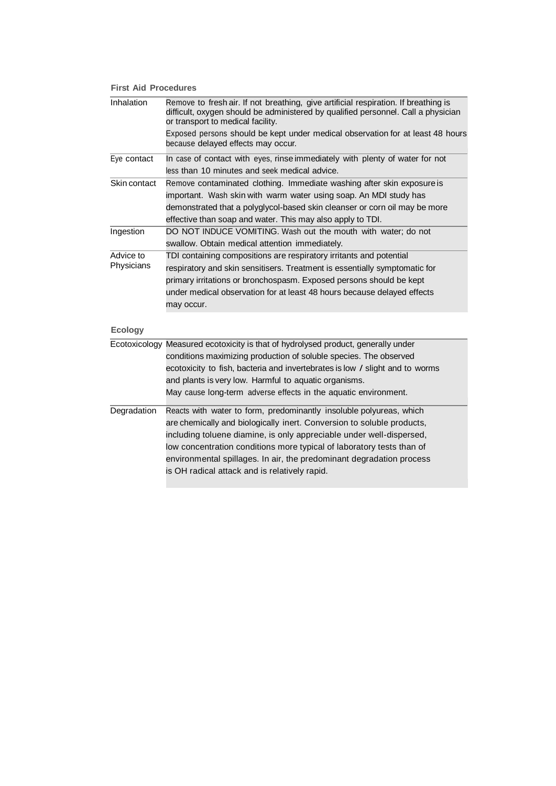#### **First Aid Procedures**

| Inhalation     | Remove to fresh air. If not breathing, give artificial respiration. If breathing is<br>difficult, oxygen should be administered by qualified personnel. Call a physician<br>or transport to medical facility. |
|----------------|---------------------------------------------------------------------------------------------------------------------------------------------------------------------------------------------------------------|
|                | Exposed persons should be kept under medical observation for at least 48 hours<br>because delayed effects may occur.                                                                                          |
| Eye contact    | In case of contact with eyes, rinse immediately with plenty of water for not                                                                                                                                  |
|                | less than 10 minutes and seek medical advice.                                                                                                                                                                 |
| Skin contact   | Remove contaminated clothing. Immediate washing after skin exposure is                                                                                                                                        |
|                | important. Wash skin with warm water using soap. An MDI study has                                                                                                                                             |
|                | demonstrated that a polyglycol-based skin cleanser or corn oil may be more                                                                                                                                    |
|                | effective than soap and water. This may also apply to TDI.                                                                                                                                                    |
| Ingestion      | DO NOT INDUCE VOMITING. Wash out the mouth with water; do not                                                                                                                                                 |
|                | swallow. Obtain medical attention immediately.                                                                                                                                                                |
| Advice to      | TDI containing compositions are respiratory irritants and potential                                                                                                                                           |
| Physicians     | respiratory and skin sensitisers. Treatment is essentially symptomatic for                                                                                                                                    |
|                | primary irritations or bronchospasm. Exposed persons should be kept                                                                                                                                           |
|                | under medical observation for at least 48 hours because delayed effects                                                                                                                                       |
|                | may occur.                                                                                                                                                                                                    |
|                |                                                                                                                                                                                                               |
| <b>Ecology</b> |                                                                                                                                                                                                               |
|                | Ecotoxicology Measured ecotoxicity is that of hydrolysed product, generally under                                                                                                                             |
|                | conditions maximizing production of soluble species. The observed                                                                                                                                             |
|                | ecotoxicity to fish, bacteria and invertebrates is low / slight and to worms                                                                                                                                  |
|                | and plants is very low. Harmful to aquatic organisms.                                                                                                                                                         |
|                | May cause long-term adverse effects in the aquatic environment.                                                                                                                                               |
| Degradation    | Reacts with water to form, predominantly insoluble polyureas, which                                                                                                                                           |
|                | are chemically and biologically inert. Conversion to soluble products,                                                                                                                                        |
|                | including toluene diamine, is only appreciable under well-dispersed,                                                                                                                                          |
|                | low concentration conditions more typical of laboratory tests than of                                                                                                                                         |
|                | environmental spillages. In air, the predominant degradation process                                                                                                                                          |
|                | is OH radical attack and is relatively rapid.                                                                                                                                                                 |
|                |                                                                                                                                                                                                               |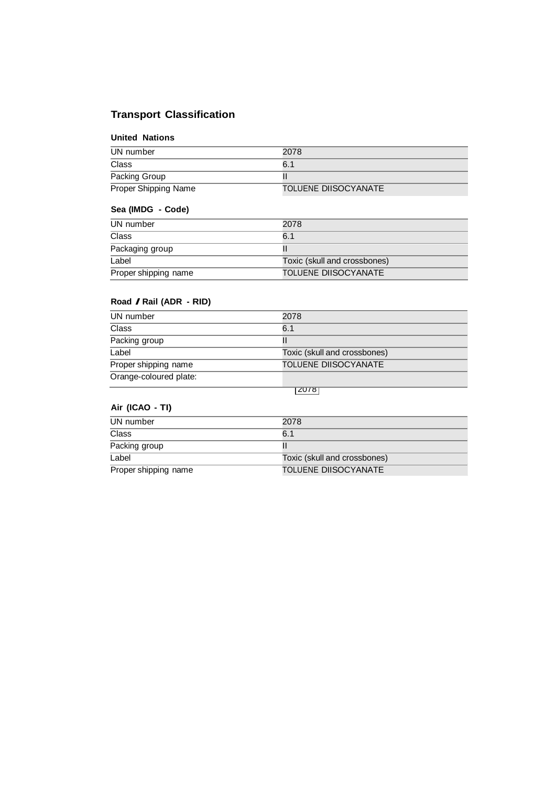## **Transport Classification**

#### **United Nations**

| UN number            | 2078                 |
|----------------------|----------------------|
| Class                | 6.1                  |
| Packing Group        |                      |
| Proper Shipping Name | TOLUENE DIISOCYANATE |

## **Sea (IMDG - Code)**

| UN number            | 2078                         |
|----------------------|------------------------------|
| Class                | 6.1                          |
| Packaging group      |                              |
| Label                | Toxic (skull and crossbones) |
| Proper shipping name | TOLUENE DIISOCYANATE         |

#### **Road / Rail (ADR - RID)**

| UN number              | 2078                         |
|------------------------|------------------------------|
| Class                  | 6.1                          |
| Packing group          |                              |
| Label                  | Toxic (skull and crossbones) |
| Proper shipping name   | TOLUENE DIISOCYANATE         |
| Orange-coloured plate: |                              |
|                        | ।∠∪78                        |

## **Air (ICAO - TI)**

| UN number            | 2078                         |
|----------------------|------------------------------|
| Class                | 6.1                          |
| Packing group        |                              |
| Label                | Toxic (skull and crossbones) |
| Proper shipping name | <b>TOLUENE DIISOCYANATE</b>  |